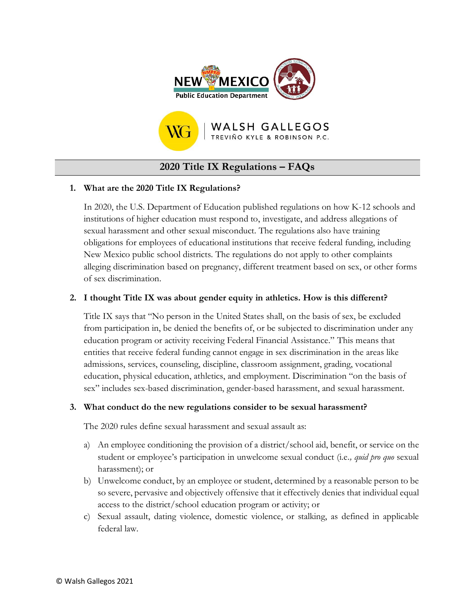



# **2020 Title IX Regulations – FAQs**

### **1. What are the 2020 Title IX Regulations?**

In 2020, the U.S. Department of Education published regulations on how K-12 schools and institutions of higher education must respond to, investigate, and address allegations of sexual harassment and other sexual misconduct. The regulations also have training obligations for employees of educational institutions that receive federal funding, including New Mexico public school districts. The regulations do not apply to other complaints alleging discrimination based on pregnancy, different treatment based on sex, or other forms of sex discrimination.

### **2. I thought Title IX was about gender equity in athletics. How is this different?**

Title IX says that "No person in the United States shall, on the basis of sex, be excluded from participation in, be denied the benefits of, or be subjected to discrimination under any education program or activity receiving Federal Financial Assistance." This means that entities that receive federal funding cannot engage in sex discrimination in the areas like admissions, services, counseling, discipline, classroom assignment, grading, vocational education, physical education, athletics, and employment. Discrimination "on the basis of sex" includes sex-based discrimination, gender-based harassment, and sexual harassment.

#### **3. What conduct do the new regulations consider to be sexual harassment?**

The 2020 rules define sexual harassment and sexual assault as:

- a) An employee conditioning the provision of a district/school aid, benefit, or service on the student or employee's participation in unwelcome sexual conduct (i.e*., quid pro quo* sexual harassment); or
- b) Unwelcome conduct, by an employee or student, determined by a reasonable person to be so severe, pervasive and objectively offensive that it effectively denies that individual equal access to the district/school education program or activity; or
- c) Sexual assault, dating violence, domestic violence, or stalking, as defined in applicable federal law.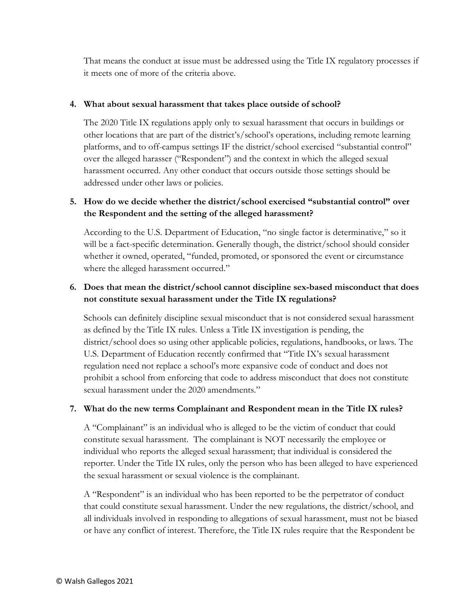That means the conduct at issue must be addressed using the Title IX regulatory processes if it meets one of more of the criteria above.

#### **4. What about sexual harassment that takes place outside of school?**

The 2020 Title IX regulations apply only to sexual harassment that occurs in buildings or other locations that are part of the district's/school's operations, including remote learning platforms, and to off-campus settings IF the district/school exercised "substantial control" over the alleged harasser ("Respondent") and the context in which the alleged sexual harassment occurred. Any other conduct that occurs outside those settings should be addressed under other laws or policies.

# **5. How do we decide whether the district/school exercised "substantial control" over the Respondent and the setting of the alleged harassment?**

According to the U.S. Department of Education, "no single factor is determinative," so it will be a fact-specific determination. Generally though, the district/school should consider whether it owned, operated, "funded, promoted, or sponsored the event or circumstance where the alleged harassment occurred."

# **6. Does that mean the district/school cannot discipline sex-based misconduct that does not constitute sexual harassment under the Title IX regulations?**

Schools can definitely discipline sexual misconduct that is not considered sexual harassment as defined by the Title IX rules. Unless a Title IX investigation is pending, the district/school does so using other applicable policies, regulations, handbooks, or laws. The U.S. Department of Education recently confirmed that "Title IX's sexual harassment regulation need not replace a school's more expansive code of conduct and does not prohibit a school from enforcing that code to address misconduct that does not constitute sexual harassment under the 2020 amendments."

#### **7. What do the new terms Complainant and Respondent mean in the Title IX rules?**

A "Complainant" is an individual who is alleged to be the victim of conduct that could constitute sexual harassment. The complainant is NOT necessarily the employee or individual who reports the alleged sexual harassment; that individual is considered the reporter. Under the Title IX rules, only the person who has been alleged to have experienced the sexual harassment or sexual violence is the complainant.

A "Respondent" is an individual who has been reported to be the perpetrator of conduct that could constitute sexual harassment. Under the new regulations, the district/school, and all individuals involved in responding to allegations of sexual harassment, must not be biased or have any conflict of interest. Therefore, the Title IX rules require that the Respondent be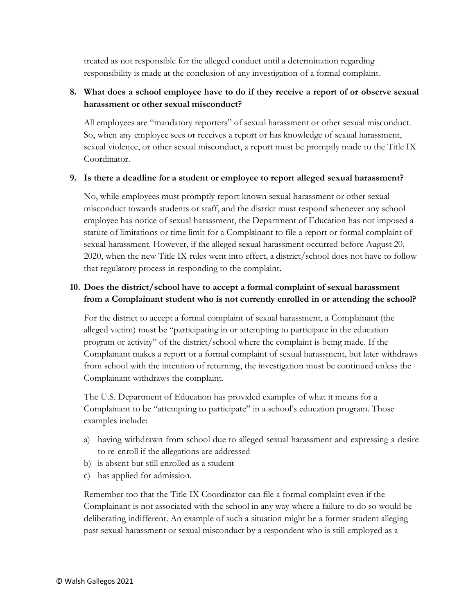treated as not responsible for the alleged conduct until a determination regarding responsibility is made at the conclusion of any investigation of a formal complaint.

### **8. What does a school employee have to do if they receive a report of or observe sexual harassment or other sexual misconduct?**

All employees are "mandatory reporters" of sexual harassment or other sexual misconduct. So, when any employee sees or receives a report or has knowledge of sexual harassment, sexual violence, or other sexual misconduct, a report must be promptly made to the Title IX Coordinator.

#### **9. Is there a deadline for a student or employee to report alleged sexual harassment?**

No, while employees must promptly report known sexual harassment or other sexual misconduct towards students or staff, and the district must respond whenever any school employee has notice of sexual harassment, the Department of Education has not imposed a statute of limitations or time limit for a Complainant to file a report or formal complaint of sexual harassment. However, if the alleged sexual harassment occurred before August 20, 2020, when the new Title IX rules went into effect, a district/school does not have to follow that regulatory process in responding to the complaint.

### **10. Does the district/school have to accept a formal complaint of sexual harassment from a Complainant student who is not currently enrolled in or attending the school?**

For the district to accept a formal complaint of sexual harassment, a Complainant (the alleged victim) must be "participating in or attempting to participate in the education program or activity" of the district/school where the complaint is being made. If the Complainant makes a report or a formal complaint of sexual harassment, but later withdraws from school with the intention of returning, the investigation must be continued unless the Complainant withdraws the complaint.

The U.S. Department of Education has provided examples of what it means for a Complainant to be "attempting to participate" in a school's education program. Those examples include:

- a) having withdrawn from school due to alleged sexual harassment and expressing a desire to re-enroll if the allegations are addressed
- b) is absent but still enrolled as a student
- c) has applied for admission.

Remember too that the Title IX Coordinator can file a formal complaint even if the Complainant is not associated with the school in any way where a failure to do so would be deliberating indifferent. An example of such a situation might be a former student alleging past sexual harassment or sexual misconduct by a respondent who is still employed as a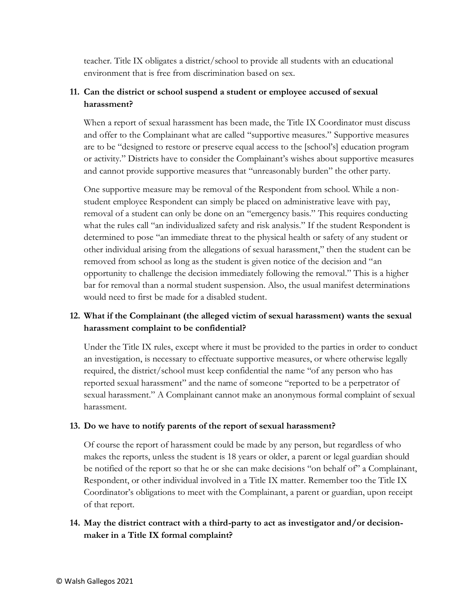teacher. Title IX obligates a district/school to provide all students with an educational environment that is free from discrimination based on sex.

# **11. Can the district or school suspend a student or employee accused of sexual harassment?**

When a report of sexual harassment has been made, the Title IX Coordinator must discuss and offer to the Complainant what are called "supportive measures." Supportive measures are to be "designed to restore or preserve equal access to the [school's] education program or activity." Districts have to consider the Complainant's wishes about supportive measures and cannot provide supportive measures that "unreasonably burden" the other party.

One supportive measure may be removal of the Respondent from school. While a nonstudent employee Respondent can simply be placed on administrative leave with pay, removal of a student can only be done on an "emergency basis." This requires conducting what the rules call "an individualized safety and risk analysis." If the student Respondent is determined to pose "an immediate threat to the physical health or safety of any student or other individual arising from the allegations of sexual harassment," then the student can be removed from school as long as the student is given notice of the decision and "an opportunity to challenge the decision immediately following the removal." This is a higher bar for removal than a normal student suspension. Also, the usual manifest determinations would need to first be made for a disabled student.

# **12. What if the Complainant (the alleged victim of sexual harassment) wants the sexual harassment complaint to be confidential?**

Under the Title IX rules, except where it must be provided to the parties in order to conduct an investigation, is necessary to effectuate supportive measures, or where otherwise legally required, the district/school must keep confidential the name "of any person who has reported sexual harassment" and the name of someone "reported to be a perpetrator of sexual harassment." A Complainant cannot make an anonymous formal complaint of sexual harassment.

#### **13. Do we have to notify parents of the report of sexual harassment?**

Of course the report of harassment could be made by any person, but regardless of who makes the reports, unless the student is 18 years or older, a parent or legal guardian should be notified of the report so that he or she can make decisions "on behalf of" a Complainant, Respondent, or other individual involved in a Title IX matter. Remember too the Title IX Coordinator's obligations to meet with the Complainant, a parent or guardian, upon receipt of that report.

### **14. May the district contract with a third-party to act as investigator and/or decisionmaker in a Title IX formal complaint?**